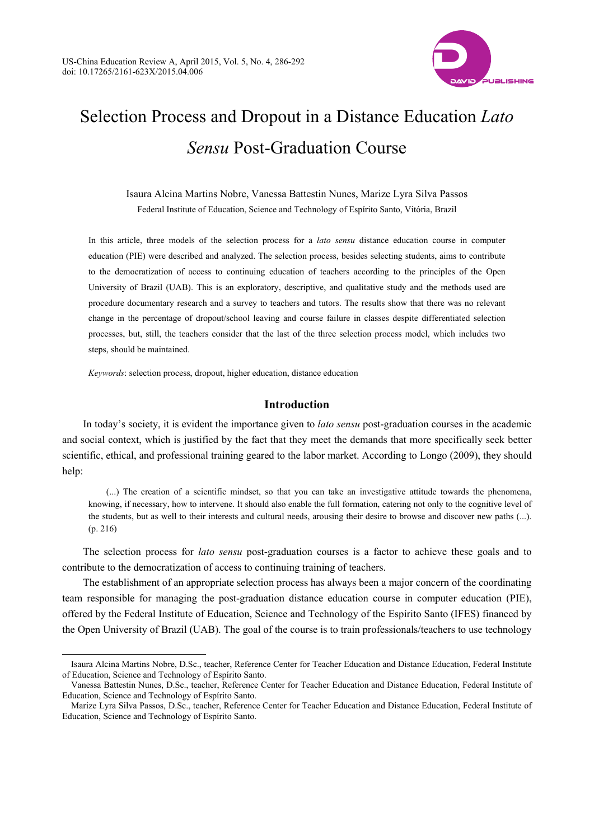

# Selection Process and Dropout in a Distance Education *Lato Sensu* Post-Graduation Course

Isaura Alcina Martins Nobre, Vanessa Battestin Nunes, Marize Lyra Silva Passos Federal Institute of Education, Science and Technology of Espírito Santo, Vitória, Brazil

In this article, three models of the selection process for a *lato sensu* distance education course in computer education (PIE) were described and analyzed. The selection process, besides selecting students, aims to contribute to the democratization of access to continuing education of teachers according to the principles of the Open University of Brazil (UAB). This is an exploratory, descriptive, and qualitative study and the methods used are procedure documentary research and a survey to teachers and tutors. The results show that there was no relevant change in the percentage of dropout/school leaving and course failure in classes despite differentiated selection processes, but, still, the teachers consider that the last of the three selection process model, which includes two steps, should be maintained.

*Keywords*: selection process, dropout, higher education, distance education

 $\overline{a}$ 

# **Introduction**

In today's society, it is evident the importance given to *lato sensu* post-graduation courses in the academic and social context, which is justified by the fact that they meet the demands that more specifically seek better scientific, ethical, and professional training geared to the labor market. According to Longo (2009), they should help:

(...) The creation of a scientific mindset, so that you can take an investigative attitude towards the phenomena, knowing, if necessary, how to intervene. It should also enable the full formation, catering not only to the cognitive level of the students, but as well to their interests and cultural needs, arousing their desire to browse and discover new paths (...). (p. 216)

The selection process for *lato sensu* post-graduation courses is a factor to achieve these goals and to contribute to the democratization of access to continuing training of teachers.

The establishment of an appropriate selection process has always been a major concern of the coordinating team responsible for managing the post-graduation distance education course in computer education (PIE), offered by the Federal Institute of Education, Science and Technology of the Espírito Santo (IFES) financed by the Open University of Brazil (UAB). The goal of the course is to train professionals/teachers to use technology

Isaura Alcina Martins Nobre, D.Sc., teacher, Reference Center for Teacher Education and Distance Education, Federal Institute of Education, Science and Technology of Espírito Santo.

Vanessa Battestin Nunes, D.Sc., teacher, Reference Center for Teacher Education and Distance Education, Federal Institute of Education, Science and Technology of Espírito Santo.

Marize Lyra Silva Passos, D.Sc., teacher, Reference Center for Teacher Education and Distance Education, Federal Institute of Education, Science and Technology of Espírito Santo.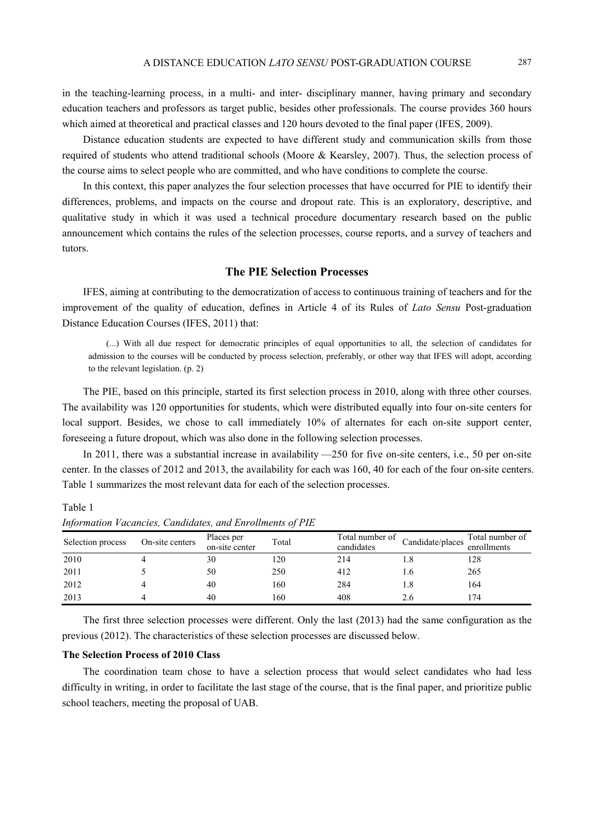in the teaching-learning process, in a multi- and inter- disciplinary manner, having primary and secondary education teachers and professors as target public, besides other professionals. The course provides 360 hours which aimed at theoretical and practical classes and 120 hours devoted to the final paper (IFES, 2009).

Distance education students are expected to have different study and communication skills from those required of students who attend traditional schools (Moore & Kearsley, 2007). Thus, the selection process of the course aims to select people who are committed, and who have conditions to complete the course.

In this context, this paper analyzes the four selection processes that have occurred for PIE to identify their differences, problems, and impacts on the course and dropout rate. This is an exploratory, descriptive, and qualitative study in which it was used a technical procedure documentary research based on the public announcement which contains the rules of the selection processes, course reports, and a survey of teachers and tutors.

# **The PIE Selection Processes**

IFES, aiming at contributing to the democratization of access to continuous training of teachers and for the improvement of the quality of education, defines in Article 4 of its Rules of *Lato Sensu* Post-graduation Distance Education Courses (IFES, 2011) that:

(...) With all due respect for democratic principles of equal opportunities to all, the selection of candidates for admission to the courses will be conducted by process selection, preferably, or other way that IFES will adopt, according to the relevant legislation. (p. 2)

The PIE, based on this principle, started its first selection process in 2010, along with three other courses. The availability was 120 opportunities for students, which were distributed equally into four on-site centers for local support. Besides, we chose to call immediately 10% of alternates for each on-site support center, foreseeing a future dropout, which was also done in the following selection processes.

In 2011, there was a substantial increase in availability —250 for five on-site centers, i.e., 50 per on-site center. In the classes of 2012 and 2013, the availability for each was 160, 40 for each of the four on-site centers. Table 1 summarizes the most relevant data for each of the selection processes.

Table 1

| Selection process | On-site centers | Places per<br>on-site center | Total | Total number of<br>candidates | Candidate/places | Total number of<br>enrollments |
|-------------------|-----------------|------------------------------|-------|-------------------------------|------------------|--------------------------------|
| 2010              |                 | 30                           | 120   | 214                           |                  | 128                            |
| 2011              |                 | 50                           | 250   | 412                           |                  | 265                            |
| 2012              |                 | 40                           | 160   | 284                           |                  | 164                            |
| 2013              |                 | 40                           | 160   | 408                           |                  | 174                            |

*Information Vacancies, Candidates, and Enrollments of PIE* 

The first three selection processes were different. Only the last (2013) had the same configuration as the previous (2012). The characteristics of these selection processes are discussed below.

#### **The Selection Process of 2010 Class**

The coordination team chose to have a selection process that would select candidates who had less difficulty in writing, in order to facilitate the last stage of the course, that is the final paper, and prioritize public school teachers, meeting the proposal of UAB.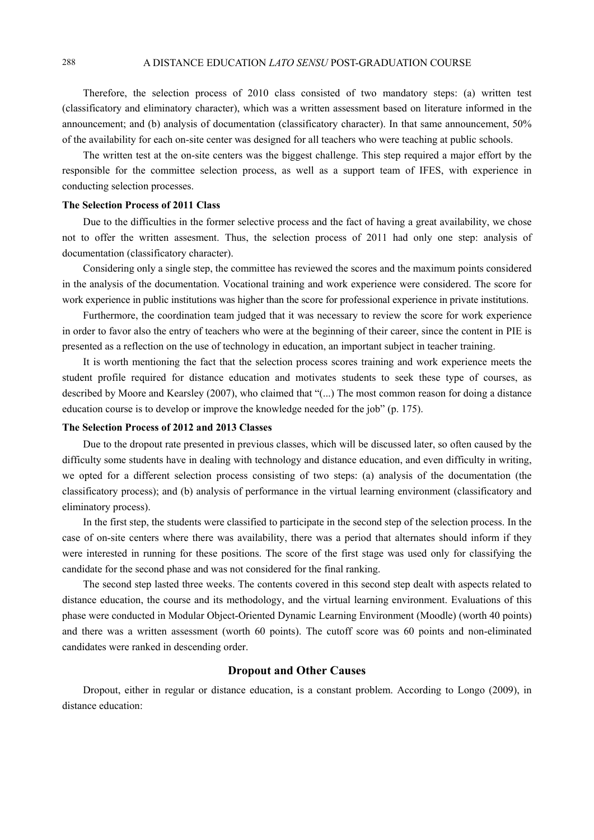Therefore, the selection process of 2010 class consisted of two mandatory steps: (a) written test (classificatory and eliminatory character), which was a written assessment based on literature informed in the announcement; and (b) analysis of documentation (classificatory character). In that same announcement, 50% of the availability for each on-site center was designed for all teachers who were teaching at public schools.

The written test at the on-site centers was the biggest challenge. This step required a major effort by the responsible for the committee selection process, as well as a support team of IFES, with experience in conducting selection processes.

## **The Selection Process of 2011 Class**

Due to the difficulties in the former selective process and the fact of having a great availability, we chose not to offer the written assesment. Thus, the selection process of 2011 had only one step: analysis of documentation (classificatory character).

Considering only a single step, the committee has reviewed the scores and the maximum points considered in the analysis of the documentation. Vocational training and work experience were considered. The score for work experience in public institutions was higher than the score for professional experience in private institutions.

Furthermore, the coordination team judged that it was necessary to review the score for work experience in order to favor also the entry of teachers who were at the beginning of their career, since the content in PIE is presented as a reflection on the use of technology in education, an important subject in teacher training.

It is worth mentioning the fact that the selection process scores training and work experience meets the student profile required for distance education and motivates students to seek these type of courses, as described by Moore and Kearsley (2007), who claimed that "(...) The most common reason for doing a distance education course is to develop or improve the knowledge needed for the job" (p. 175).

## **The Selection Process of 2012 and 2013 Classes**

Due to the dropout rate presented in previous classes, which will be discussed later, so often caused by the difficulty some students have in dealing with technology and distance education, and even difficulty in writing, we opted for a different selection process consisting of two steps: (a) analysis of the documentation (the classificatory process); and (b) analysis of performance in the virtual learning environment (classificatory and eliminatory process).

In the first step, the students were classified to participate in the second step of the selection process. In the case of on-site centers where there was availability, there was a period that alternates should inform if they were interested in running for these positions. The score of the first stage was used only for classifying the candidate for the second phase and was not considered for the final ranking.

The second step lasted three weeks. The contents covered in this second step dealt with aspects related to distance education, the course and its methodology, and the virtual learning environment. Evaluations of this phase were conducted in Modular Object-Oriented Dynamic Learning Environment (Moodle) (worth 40 points) and there was a written assessment (worth 60 points). The cutoff score was 60 points and non-eliminated candidates were ranked in descending order.

# **Dropout and Other Causes**

Dropout, either in regular or distance education, is a constant problem. According to Longo (2009), in distance education: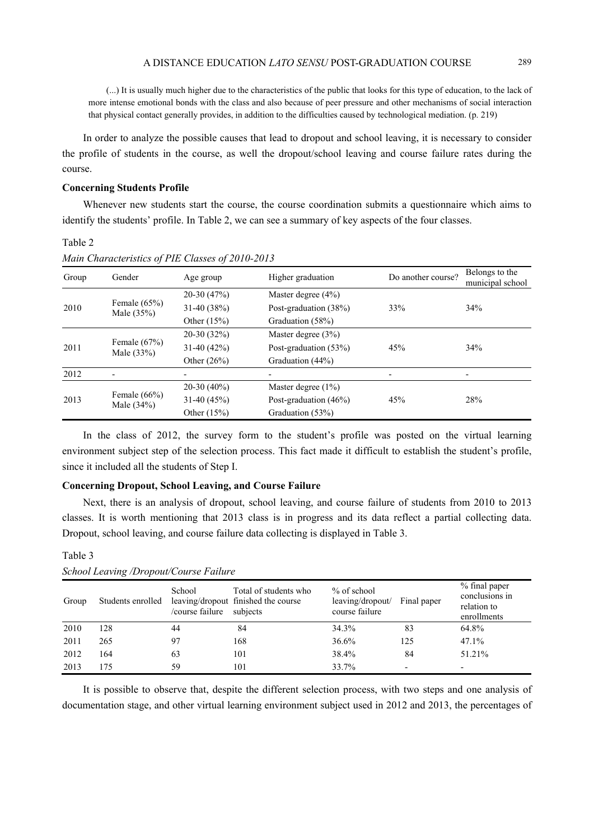(...) It is usually much higher due to the characteristics of the public that looks for this type of education, to the lack of more intense emotional bonds with the class and also because of peer pressure and other mechanisms of social interaction that physical contact generally provides, in addition to the difficulties caused by technological mediation. (p. 219)

In order to analyze the possible causes that lead to dropout and school leaving, it is necessary to consider the profile of students in the course, as well the dropout/school leaving and course failure rates during the course.

#### **Concerning Students Profile**

Whenever new students start the course, the course coordination submits a questionnaire which aims to identify the students' profile. In Table 2, we can see a summary of key aspects of the four classes.

#### Table 2

Table 3

| Group | Gender                          | Age group     | Higher graduation     | Do another course?              | Belongs to the<br>municipal school |
|-------|---------------------------------|---------------|-----------------------|---------------------------------|------------------------------------|
| 2010  | Female $(65%)$<br>Male $(35%)$  | $20-30(47%)$  | Master degree $(4\%)$ |                                 | 34%                                |
|       |                                 | $31-40(38%)$  | Post-graduation (38%) | 33%                             |                                    |
|       |                                 | Other $(15%)$ | Graduation (58%)      |                                 |                                    |
| 2011  | Female $(67%)$<br>Male $(33%)$  | $20-30(32%)$  | Master degree $(3\%)$ |                                 |                                    |
|       |                                 | $31-40(42%)$  | Post-graduation (53%) | 45%                             | 34%                                |
|       |                                 | Other $(26%)$ | Graduation (44%)      |                                 |                                    |
| 2012  |                                 |               | ٠                     | $\overline{\phantom{a}}$        | $\overline{a}$                     |
| 2013  | Female $(66\%)$<br>Male $(34%)$ | $20-30(40\%)$ | Master degree $(1\%)$ | Post-graduation $(46\%)$<br>45% |                                    |
|       |                                 | $31-40(45%)$  |                       |                                 |                                    |
|       |                                 | Other $(15%)$ | Graduation (53%)      |                                 |                                    |

# *Main Characteristics of PIE Classes of 2010-2013*

In the class of 2012, the survey form to the student's profile was posted on the virtual learning environment subject step of the selection process. This fact made it difficult to establish the student's profile, since it included all the students of Step I.

#### **Concerning Dropout, School Leaving, and Course Failure**

Next, there is an analysis of dropout, school leaving, and course failure of students from 2010 to 2013 classes. It is worth mentioning that 2013 class is in progress and its data reflect a partial collecting data. Dropout, school leaving, and course failure data collecting is displayed in Table 3.

| Group | Students enrolled | School<br>course failure | Total of students who<br>leaving/dropout finished the course<br>subjects | $%$ of school<br>leaving/dropout/<br>course failure | Final paper              | % final paper<br>conclusions in<br>relation to<br>enrollments |
|-------|-------------------|--------------------------|--------------------------------------------------------------------------|-----------------------------------------------------|--------------------------|---------------------------------------------------------------|
| 2010  | 128               | 44                       | 84                                                                       | 34.3%                                               | 83                       | 64.8%                                                         |
| 2011  | 265               | 97                       | 168                                                                      | 36.6%                                               | 125                      | 47.1%                                                         |
| 2012  | 164               | 63                       | 101                                                                      | 38.4%                                               | 84                       | 51.21%                                                        |
| 2013  | 175               | 59                       | 101                                                                      | 33.7%                                               | $\overline{\phantom{0}}$ |                                                               |

# *School Leaving /Dropout/Course Failure*

It is possible to observe that, despite the different selection process, with two steps and one analysis of documentation stage, and other virtual learning environment subject used in 2012 and 2013, the percentages of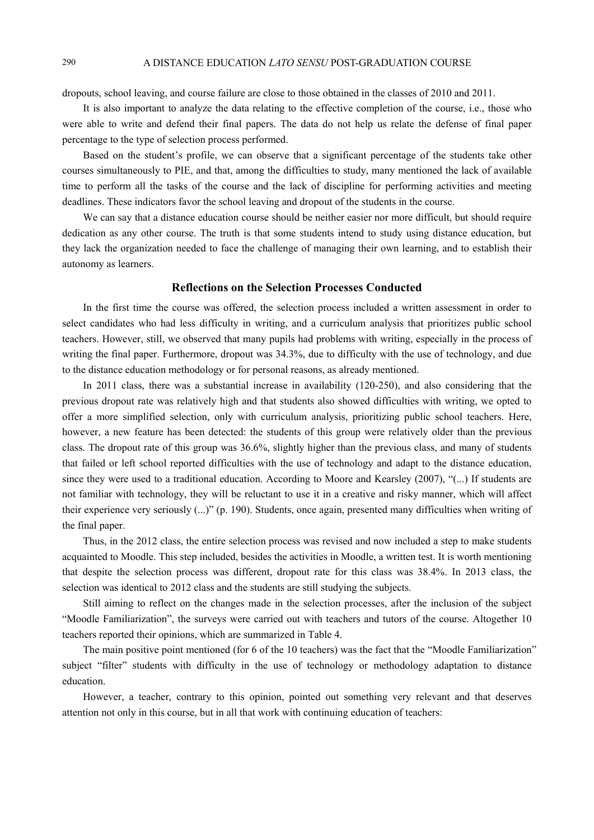dropouts, school leaving, and course failure are close to those obtained in the classes of 2010 and 2011.

It is also important to analyze the data relating to the effective completion of the course, i.e., those who were able to write and defend their final papers. The data do not help us relate the defense of final paper percentage to the type of selection process performed.

Based on the student's profile, we can observe that a significant percentage of the students take other courses simultaneously to PIE, and that, among the difficulties to study, many mentioned the lack of available time to perform all the tasks of the course and the lack of discipline for performing activities and meeting deadlines. These indicators favor the school leaving and dropout of the students in the course.

We can say that a distance education course should be neither easier nor more difficult, but should require dedication as any other course. The truth is that some students intend to study using distance education, but they lack the organization needed to face the challenge of managing their own learning, and to establish their autonomy as learners.

#### **Reflections on the Selection Processes Conducted**

In the first time the course was offered, the selection process included a written assessment in order to select candidates who had less difficulty in writing, and a curriculum analysis that prioritizes public school teachers. However, still, we observed that many pupils had problems with writing, especially in the process of writing the final paper. Furthermore, dropout was 34.3%, due to difficulty with the use of technology, and due to the distance education methodology or for personal reasons, as already mentioned.

In 2011 class, there was a substantial increase in availability (120-250), and also considering that the previous dropout rate was relatively high and that students also showed difficulties with writing, we opted to offer a more simplified selection, only with curriculum analysis, prioritizing public school teachers. Here, however, a new feature has been detected: the students of this group were relatively older than the previous class. The dropout rate of this group was 36.6%, slightly higher than the previous class, and many of students that failed or left school reported difficulties with the use of technology and adapt to the distance education, since they were used to a traditional education. According to Moore and Kearsley (2007), "(...) If students are not familiar with technology, they will be reluctant to use it in a creative and risky manner, which will affect their experience very seriously (...)" (p. 190). Students, once again, presented many difficulties when writing of the final paper.

Thus, in the 2012 class, the entire selection process was revised and now included a step to make students acquainted to Moodle. This step included, besides the activities in Moodle, a written test. It is worth mentioning that despite the selection process was different, dropout rate for this class was 38.4%. In 2013 class, the selection was identical to 2012 class and the students are still studying the subjects.

Still aiming to reflect on the changes made in the selection processes, after the inclusion of the subject "Moodle Familiarization", the surveys were carried out with teachers and tutors of the course. Altogether 10 teachers reported their opinions, which are summarized in Table 4.

The main positive point mentioned (for 6 of the 10 teachers) was the fact that the "Moodle Familiarization" subject "filter" students with difficulty in the use of technology or methodology adaptation to distance education.

However, a teacher, contrary to this opinion, pointed out something very relevant and that deserves attention not only in this course, but in all that work with continuing education of teachers: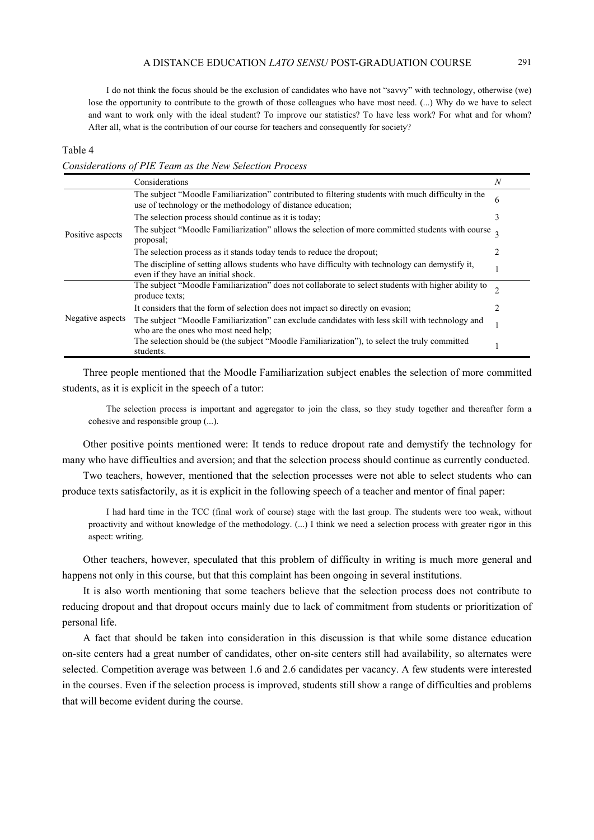I do not think the focus should be the exclusion of candidates who have not "savvy" with technology, otherwise (we) lose the opportunity to contribute to the growth of those colleagues who have most need. (...) Why do we have to select and want to work only with the ideal student? To improve our statistics? To have less work? For what and for whom? After all, what is the contribution of our course for teachers and consequently for society?

#### Table 4

*Considerations of PIE Team as the New Selection Process* 

|                  | Considerations                                                                                                                                                         | N |  |
|------------------|------------------------------------------------------------------------------------------------------------------------------------------------------------------------|---|--|
| Positive aspects | The subject "Moodle Familiarization" contributed to filtering students with much difficulty in the<br>6<br>use of technology or the methodology of distance education; |   |  |
|                  | The selection process should continue as it is today;                                                                                                                  | 3 |  |
|                  | The subject "Moodle Familiarization" allows the selection of more committed students with course $\frac{1}{2}$<br>proposal;                                            |   |  |
|                  | The selection process as it stands today tends to reduce the dropout;                                                                                                  |   |  |
|                  | The discipline of setting allows students who have difficulty with technology can demystify it,<br>even if they have an initial shock.                                 |   |  |
| Negative aspects | The subject "Moodle Familiarization" does not collaborate to select students with higher ability to<br>produce texts;                                                  |   |  |
|                  | It considers that the form of selection does not impact so directly on evasion;                                                                                        |   |  |
|                  | The subject "Moodle Familiarization" can exclude candidates with less skill with technology and<br>who are the ones who most need help;                                |   |  |
|                  | The selection should be (the subject "Moodle Familiarization"), to select the truly committed<br>students.                                                             |   |  |

Three people mentioned that the Moodle Familiarization subject enables the selection of more committed students, as it is explicit in the speech of a tutor:

The selection process is important and aggregator to join the class, so they study together and thereafter form a cohesive and responsible group (...).

Other positive points mentioned were: It tends to reduce dropout rate and demystify the technology for many who have difficulties and aversion; and that the selection process should continue as currently conducted.

Two teachers, however, mentioned that the selection processes were not able to select students who can produce texts satisfactorily, as it is explicit in the following speech of a teacher and mentor of final paper:

I had hard time in the TCC (final work of course) stage with the last group. The students were too weak, without proactivity and without knowledge of the methodology. (...) I think we need a selection process with greater rigor in this aspect: writing.

Other teachers, however, speculated that this problem of difficulty in writing is much more general and happens not only in this course, but that this complaint has been ongoing in several institutions.

It is also worth mentioning that some teachers believe that the selection process does not contribute to reducing dropout and that dropout occurs mainly due to lack of commitment from students or prioritization of personal life.

A fact that should be taken into consideration in this discussion is that while some distance education on-site centers had a great number of candidates, other on-site centers still had availability, so alternates were selected. Competition average was between 1.6 and 2.6 candidates per vacancy. A few students were interested in the courses. Even if the selection process is improved, students still show a range of difficulties and problems that will become evident during the course.